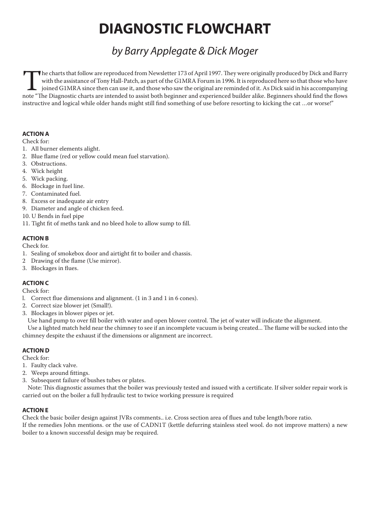# **DIAGNOSTIC FLOWCHART**

# *by Barry Applegate & Dick Moger*

The charts that follow are reproduced from Newsletter 173 of April 1997. They were originally produced by Dick and Barry<br>with the assistance of Tony Hall-Patch, as part of the G1MRA Forum in 1996. It is reproduced here so with the assistance of Tony Hall-Patch, as part of the G1MRA Forum in 1996. It is reproduced here so that those who have joined G1MRA since then can use it, and those who saw the original are reminded of it. As Dick said in his accompanying note "The Diagnostic charts are intended to assist both beginner and experienced builder alike. Beginners should find the flows instructive and logical while older hands might still find something of use before resorting to kicking the cat …or worse!"

# **ACTION A**

Check for:

- 1. All burner elements alight.
- 2. Blue flame (red or yellow could mean fuel starvation).
- 3. Obstructions.
- 4. Wick height
- 5. Wick packing.
- 6. Blockage in fuel line.
- 7. Contaminated fuel.
- 8. Excess or inadequate air entry
- 9. Diameter and angle of chicken feed.
- 10. U Bends in fuel pipe
- 11. Tight fit of meths tank and no bleed hole to allow sump to fill.

#### **ACTION B**

Check for.

- 1. Sealing of smokebox door and airtight fit to boiler and chassis.
- 2 Drawing of the flame (Use mirror).
- 3. Blockages in flues.

#### **ACTION C**

Check for:

- l. Correct flue dimensions and alignment.  $(1 \text{ in } 3 \text{ and } 1 \text{ in } 6 \text{ cones}).$
- 2. Correct size blower jet (Small!).
- 3. Blockages in blower pipes or jet.
	- Use hand pump to over fill boiler with water and open blower control. The jet of water will indicate the alignment.

Use a lighted match held near the chimney to see if an incomplete vacuum is being created... The flame will be sucked into the chimney despite the exhaust if the dimensions or alignment are incorrect.

# **ACTION D**

#### Check for:

- 1. Faulty clack valve.
- 2. Weeps around fittings.
- 3. Subsequent failure of bushes tubes or plates.

Note: This diagnostic assumes that the boiler was previously tested and issued with a certificate. If silver solder repair work is carried out on the boiler a full hydraulic test to twice working pressure is required

#### **ACTION E**

Check the basic boiler design against JVRs comments.. i.e. Cross section area of flues and tube length/bore ratio. If the remedies John mentions. or the use of CADN1T (kettle defurring stainless steel wool. do not improve matters) a new

boiler to a known successful design may be required.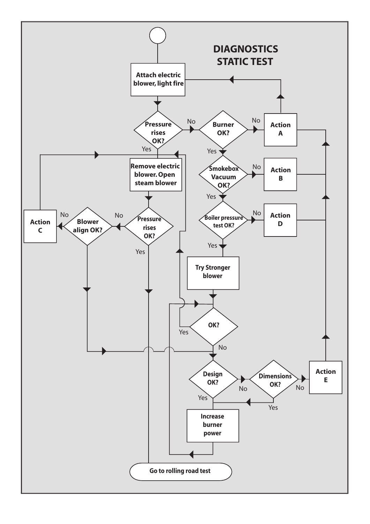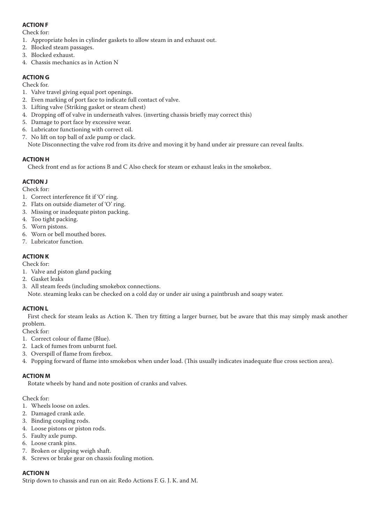#### **ACTION F**

Check for:

- 1. Appropriate holes in cylinder gaskets to allow steam in and exhaust out.
- 2. Blocked steam passages.
- 3. Blocked exhaust.
- 4. Chassis mechanics as in Action N

# **ACTION G**

Check for.

- 1. Valve travel giving equal port openings.
- 2. Even marking of port face to indicate full contact of valve.
- 3. Lifting valve (Striking gasket or steam chest)
- 4. Dropping off of valve in underneath valves. (inverting chassis briefly may correct this)
- 5. Damage to port face by excessive wear.
- 6. Lubricator functioning with correct oil.
- 7. No lift on top ball of axle pump or clack.

Note Disconnecting the valve rod from its drive and moving it by hand under air pressure can reveal faults.

#### **ACTION H**

Check front end as for actions B and C Also check for steam or exhaust leaks in the smokebox.

#### **ACTION J**

Check for:

- 1. Correct interference fit if 'O' ring.
- 2. Flats on outside diameter of 'O' ring.
- 3. Missing or inadequate piston packing.
- 4. Too tight packing.
- 5. Worn pistons.
- 6. Worn or bell mouthed bores.
- 7. Lubricator function.

# **ACTION K**

Check for:

- 1. Valve and piston gland packing
- 2. Gasket leaks
- 3. All steam feeds (including smokebox connections. Note. steaming leaks can be checked on a cold day or under air using a paintbrush and soapy water.

# **ACTION L**

First check for steam leaks as Action K. Then try fitting a larger burner, but be aware that this may simply mask another problem.

Check for:

- 1. Correct colour of flame (Blue).
- 2. Lack of fumes from unburnt fuel.
- 3. Overspill of flame from firebox.
- 4. Popping forward of flame into smokebox when under load. (This usually indicates inadequate flue cross section area).

#### **ACTION M**

Rotate wheels by hand and note position of cranks and valves.

Check for:

- 1. Wheels loose on axles.
- 2. Damaged crank axle.
- 3. Binding coupling rods.
- 4. Loose pistons or piston rods.
- 5. Faulty axle pump.
- 6. Loose crank pins.
- 7. Broken or slipping weigh shaft.
- 8. Screws or brake gear on chassis fouling motion.

# **ACTION N**

Strip down to chassis and run on air. Redo Actions F. G. J. K. and M.